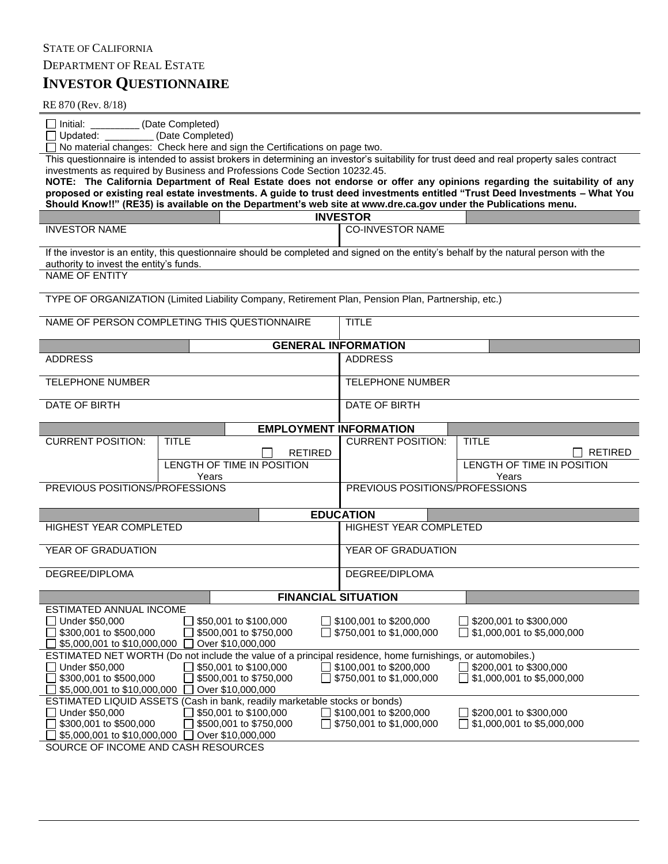## **INVESTOR QUESTIONNAIRE** STATE OF CALIFORNIA DEPARTMENT OF REAL ESTATE

RE 870 (Rev. 8/18)

| □ Initial: (Date Completed)<br>(Date Completed)<br>$\Box$ Updated:                                                                                                                                                                                                                                                                                                                                                                                                                                                                                                                                                                                                                    |                                                    |                                                              |  |  |  |  |
|---------------------------------------------------------------------------------------------------------------------------------------------------------------------------------------------------------------------------------------------------------------------------------------------------------------------------------------------------------------------------------------------------------------------------------------------------------------------------------------------------------------------------------------------------------------------------------------------------------------------------------------------------------------------------------------|----------------------------------------------------|--------------------------------------------------------------|--|--|--|--|
| $\Box$ No material changes: Check here and sign the Certifications on page two.<br>This questionnaire is intended to assist brokers in determining an investor's suitability for trust deed and real property sales contract<br>investments as required by Business and Professions Code Section 10232.45.<br>NOTE: The California Department of Real Estate does not endorse or offer any opinions regarding the suitability of any<br>proposed or existing real estate investments. A guide to trust deed investments entitled "Trust Deed Investments - What You<br>Should Know!!" (RE35) is available on the Department's web site at www.dre.ca.gov under the Publications menu. |                                                    |                                                              |  |  |  |  |
|                                                                                                                                                                                                                                                                                                                                                                                                                                                                                                                                                                                                                                                                                       | <b>INVESTOR</b>                                    |                                                              |  |  |  |  |
| <b>INVESTOR NAME</b>                                                                                                                                                                                                                                                                                                                                                                                                                                                                                                                                                                                                                                                                  | <b>CO-INVESTOR NAME</b>                            |                                                              |  |  |  |  |
| If the investor is an entity, this questionnaire should be completed and signed on the entity's behalf by the natural person with the<br>authority to invest the entity's funds.                                                                                                                                                                                                                                                                                                                                                                                                                                                                                                      |                                                    |                                                              |  |  |  |  |
| <b>NAME OF ENTITY</b>                                                                                                                                                                                                                                                                                                                                                                                                                                                                                                                                                                                                                                                                 |                                                    |                                                              |  |  |  |  |
| TYPE OF ORGANIZATION (Limited Liability Company, Retirement Plan, Pension Plan, Partnership, etc.)                                                                                                                                                                                                                                                                                                                                                                                                                                                                                                                                                                                    |                                                    |                                                              |  |  |  |  |
| NAME OF PERSON COMPLETING THIS QUESTIONNAIRE                                                                                                                                                                                                                                                                                                                                                                                                                                                                                                                                                                                                                                          | <b>TITLE</b>                                       |                                                              |  |  |  |  |
| <b>GENERAL INFORMATION</b>                                                                                                                                                                                                                                                                                                                                                                                                                                                                                                                                                                                                                                                            |                                                    |                                                              |  |  |  |  |
| <b>ADDRESS</b>                                                                                                                                                                                                                                                                                                                                                                                                                                                                                                                                                                                                                                                                        | <b>ADDRESS</b>                                     |                                                              |  |  |  |  |
| <b>TELEPHONE NUMBER</b>                                                                                                                                                                                                                                                                                                                                                                                                                                                                                                                                                                                                                                                               | <b>TELEPHONE NUMBER</b>                            |                                                              |  |  |  |  |
| DATE OF BIRTH                                                                                                                                                                                                                                                                                                                                                                                                                                                                                                                                                                                                                                                                         | DATE OF BIRTH                                      |                                                              |  |  |  |  |
| <b>EMPLOYMENT INFORMATION</b>                                                                                                                                                                                                                                                                                                                                                                                                                                                                                                                                                                                                                                                         |                                                    |                                                              |  |  |  |  |
| <b>CURRENT POSITION:</b><br><b>TITLE</b><br><b>RETIRED</b><br>LENGTH OF TIME IN POSITION                                                                                                                                                                                                                                                                                                                                                                                                                                                                                                                                                                                              | <b>CURRENT POSITION:</b>                           | <b>TITLE</b><br><b>RETIRED</b><br>LENGTH OF TIME IN POSITION |  |  |  |  |
| Years<br>PREVIOUS POSITIONS/PROFESSIONS                                                                                                                                                                                                                                                                                                                                                                                                                                                                                                                                                                                                                                               | PREVIOUS POSITIONS/PROFESSIONS                     | Years                                                        |  |  |  |  |
| <b>EDUCATION</b>                                                                                                                                                                                                                                                                                                                                                                                                                                                                                                                                                                                                                                                                      |                                                    |                                                              |  |  |  |  |
| <b>HIGHEST YEAR COMPLETED</b>                                                                                                                                                                                                                                                                                                                                                                                                                                                                                                                                                                                                                                                         | <b>HIGHEST YEAR COMPLETED</b>                      |                                                              |  |  |  |  |
| YEAR OF GRADUATION                                                                                                                                                                                                                                                                                                                                                                                                                                                                                                                                                                                                                                                                    | YEAR OF GRADUATION                                 |                                                              |  |  |  |  |
| DEGREE/DIPLOMA                                                                                                                                                                                                                                                                                                                                                                                                                                                                                                                                                                                                                                                                        | DEGREE/DIPLOMA                                     |                                                              |  |  |  |  |
| <b>FINANCIAL SITUATION</b>                                                                                                                                                                                                                                                                                                                                                                                                                                                                                                                                                                                                                                                            |                                                    |                                                              |  |  |  |  |
| ESTIMATED ANNUAL INCOME<br>Under \$50,000<br>\$50,001 to \$100,000<br>\$300,001 to \$500,000<br>\$500,001 to \$750,000<br>\$5,000,001 to \$10,000,000<br>Over \$10,000,000                                                                                                                                                                                                                                                                                                                                                                                                                                                                                                            | \$100,001 to \$200,000<br>\$750,001 to \$1,000,000 | \$200,001 to \$300,000<br>\$1,000,001 to \$5,000,000         |  |  |  |  |
| ESTIMATED NET WORTH (Do not include the value of a principal residence, home furnishings, or automobiles.)<br>□ Under \$50,000<br>\$50,001 to \$100,000<br>\$300,001 to \$500,000<br>\$500,001 to \$750,000<br>Over \$10,000,000<br>\$5,000,001 to \$10,000,000                                                                                                                                                                                                                                                                                                                                                                                                                       | \$100,001 to \$200,000<br>\$750,001 to \$1,000,000 | \$200,001 to \$300,000<br>\$1,000,001 to \$5,000,000         |  |  |  |  |
| ESTIMATED LIQUID ASSETS (Cash in bank, readily marketable stocks or bonds)<br>Under \$50,000<br>\$50,001 to \$100,000<br>$\blacksquare$<br>$\blacksquare$<br>\$300,001 to \$500,000<br>\$500,001 to \$750,000<br>Over \$10,000,000<br>\$5,000,001 to \$10,000,000<br>SOURCE OF INCOME AND CASH RESOURCES                                                                                                                                                                                                                                                                                                                                                                              | \$100,001 to \$200,000<br>\$750,001 to \$1,000,000 | \$200,001 to \$300,000<br>\$1,000,001 to \$5,000,000         |  |  |  |  |